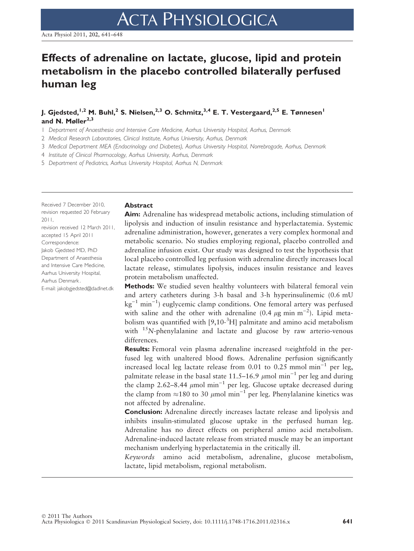# Effects of adrenaline on lactate, glucose, lipid and protein metabolism in the placebo controlled bilaterally perfused human leg

J. Gjedsted,<sup>1,2</sup> M. Buhl,<sup>2</sup> S. Nielsen,<sup>2,3</sup> O. Schmitz,<sup>3,4</sup> E. T. Vestergaard,<sup>2,5</sup> E. Tønnesen<sup>1</sup> and N. Mølle $r^{2,3}$ 

1 Department of Anaesthesia and Intensive Care Medicine, Aarhus University Hospital, Aarhus, Denmark

2 Medical Research Laboratories, Clinical Institute, Aarhus University, Aarhus, Denmark

3 Medical Department MEA (Endocrinology and Diabetes), Aarhus University Hospital, Norrebrogade, Aarhus, Denmark

4 Institute of Clinical Pharmacology, Aarhus University, Aarhus, Denmark

5 Department of Pediatrics, Aarhus University Hospital, Aarhus N, Denmark

Received 7 December 2010, revision requested 20 February 2011, revision received 12 March 2011, accepted 15 April 2011 Correspondence: Jakob Gjedsted MD, PhD Department of Anaesthesia and Intensive Care Medicine, Aarhus University Hospital, Aarhus Denmark . E-mail: jakobgjedsted@dadlnet.dk

## Abstract

Aim: Adrenaline has widespread metabolic actions, including stimulation of lipolysis and induction of insulin resistance and hyperlactatemia. Systemic adrenaline administration, however, generates a very complex hormonal and metabolic scenario. No studies employing regional, placebo controlled and adrenaline infusion exist. Our study was designed to test the hypothesis that local placebo controlled leg perfusion with adrenaline directly increases local lactate release, stimulates lipolysis, induces insulin resistance and leaves protein metabolism unaffected.

Methods: We studied seven healthy volunteers with bilateral femoral vein and artery catheters during 3-h basal and 3-h hyperinsulinemic (0.6 mU  $kg^{-1}$  min<sup>-1</sup>) euglycemic clamp conditions. One femoral artery was perfused with saline and the other with adrenaline (0.4  $\mu$ g min m<sup>-2</sup>). Lipid metabolism was quantified with [9,10-<sup>3</sup>H] palmitate and amino acid metabolism with  $15N$ -phenylalanine and lactate and glucose by raw arterio-venous differences.

**Results:** Femoral vein plasma adrenaline increased  $\approx$  eightfold in the perfused leg with unaltered blood flows. Adrenaline perfusion significantly increased local leg lactate release from  $0.01$  to  $0.25$  mmol min<sup>-1</sup> per leg, palmitate release in the basal state 11.5–16.9  $\mu$ mol min<sup>-1</sup> per leg and during the clamp 2.62–8.44  $\mu$ mol min<sup>-1</sup> per leg. Glucose uptake decreased during the clamp from  $\approx$ 180 to 30  $\mu$ mol min<sup>-1</sup> per leg. Phenylalanine kinetics was not affected by adrenaline.

Conclusion: Adrenaline directly increases lactate release and lipolysis and inhibits insulin-stimulated glucose uptake in the perfused human leg. Adrenaline has no direct effects on peripheral amino acid metabolism. Adrenaline-induced lactate release from striated muscle may be an important mechanism underlying hyperlactatemia in the critically ill.

Keywords amino acid metabolism, adrenaline, glucose metabolism, lactate, lipid metabolism, regional metabolism.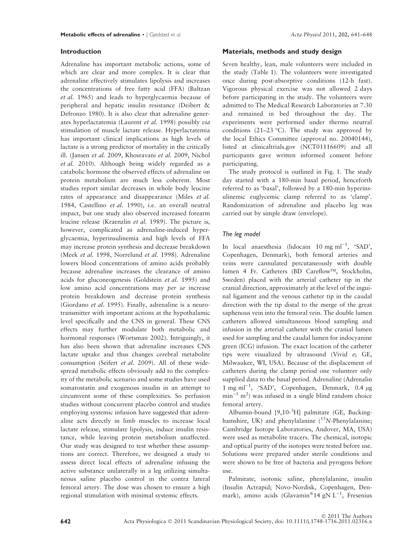# Introduction

Adrenaline has important metabolic actions, some of which are clear and more complex. It is clear that adrenaline effectively stimulates lipolysis and increases the concentrations of free fatty acid (FFA) (Baltzan et al. 1965) and leads to hyperglycaemia because of peripheral and hepatic insulin resistance (Deibert & Defronzo 1980). It is also clear that adrenaline generates hyperlactatemia (Laurent et al. 1998) possibly via stimulation of muscle lactate release. Hyperlactatemia has important clinical implications as high levels of lactate is a strong predictor of mortality in the critically ill. (Jansen et al. 2009, Khosravani et al. 2009, Nichol et al. 2010). Although being widely regarded as a catabolic hormone the observed effects of adrenaline on protein metabolism are much less coherent. Most studies report similar decreases in whole body leucine rates of appearance and disappearance (Miles et al. 1984, Castellino et al. 1990), i.e. an overall neutral impact, but one study also observed increased forearm leucine release (Kraenzlin et al. 1989). The picture is, however, complicated as adrenaline-induced hyperglycaemia, hyperinsulinemia and high levels of FFA may increase protein synthesis and decrease breakdown (Meek et al. 1998, Norrelund et al. 1998). Adrenaline lowers blood concentrations of amino acids probably because adrenaline increases the clearance of amino acids for gluconeogenesis (Goldstein et al. 1995) and low amino acid concentrations may per se increase protein breakdown and decrease protein synthesis (Giordano et al. 1995). Finally, adrenaline is a neurotransmitter with important actions at the hypothalamic level specifically and the CNS in general. These CNS effects may further modulate both metabolic and hormonal responses (Wortsman 2002). Intriguingly, it has also been shown that adrenaline increases CNS lactate uptake and thus changes cerebral metabolite consumption (Seifert et al. 2009). All of these widespread metabolic effects obviously add to the complexity of the metabolic scenario and some studies have used somatostatin and exogenous insulin in an attempt to circumvent some of these complexities. So perfusion studies without concurrent placebo control and studies employing systemic infusion have suggested that adrenaline acts directly in limb muscles to increase local lactate release, stimulate lipolysis, induce insulin resistance, while leaving protein metabolism unaffected. Our study was designed to test whether these assumptions are correct. Therefore, we designed a study to assess direct local effects of adrenaline infusing the active substance unilaterally in a leg utilizing simultaneous saline placebo control in the contra lateral femoral artery. The dose was chosen to ensure a high regional stimulation with minimal systemic effects.

# Materials, methods and study design

Seven healthy, lean, male volunteers were included in the study (Table 1). The volunteers were investigated once during post-absorptive conditions (12-h fast). Vigorous physical exercise was not allowed 2 days before participating in the study. The volunteers were admitted to The Medical Research Laboratories at 7.30 and remained in bed throughout the day. The experiments were performed under thermo neutral conditions (21–23 °C). The study was approved by the local Ethics Committee (approval no. 20040144), listed at clinicaltrials.gov (NCT01116609) and all participants gave written informed consent before participating.

The study protocol is outlined in Fig. 1. The study day started with a 180-min basal period, henceforth referred to as 'basal', followed by a 180-min hyperinsulinemic euglycemic clamp referred to as 'clamp'. Randomization of adrenaline and placebo leg was carried out by simple draw (envelope).

# The leg model

In local anaesthesia (lidocain 10 mg ml<sup>-1</sup>, 'SAD', Copenhagen, Denmark), both femoral arteries and veins were cannulated percutaneously with double lumen 4 Fr. Catheters (BD Careflow™, Stockholm, Sweden) placed with the arterial catheter tip in the cranial direction, approximately at the level of the inguinal ligament and the venous catheter tip in the caudal direction with the tip distal to the merge of the great saphenous vein into the femoral vein. The double lumen catheters allowed simultaneous blood sampling and infusion in the arterial catheter with the cranial lumen used for sampling and the caudal lumen for indocyanine green (ICG) infusion. The exact location of the catheter tips were visualized by ultrasound (Vivid e; GE, Milwaukee, WI, USA). Because of the displacement of catheters during the clamp period one volunteer only supplied data to the basal period. Adrenaline (Adrenalin 1 mg ml<sup>-1</sup>, 'SAD', Copenhagen, Denmark, 0.4  $\mu$ g  $min^{-1}$  m<sup>2</sup>) was infused in a single blind random choice femoral artery.

Albumin-bound [9,10-<sup>3</sup> H] palmitate (GE, Buckinghamshire, UK) and phenylalanine ( $15N$ -Phenylalanine; Cambridge Isotope Laboratories, Andover, MA, USA) were used as metabolite tracers. The chemical, isotopic and optical purity of the isotopes were tested before use. Solutions were prepared under sterile conditions and were shown to be free of bacteria and pyrogens before use.

Palmitate, isotonic saline, phenylalanine, insulin (Insulin Actrapid; Novo-Nordisk, Copenhagen, Denmark), amino acids (Glavamin®14 gN L<sup>-1</sup>, Fresenius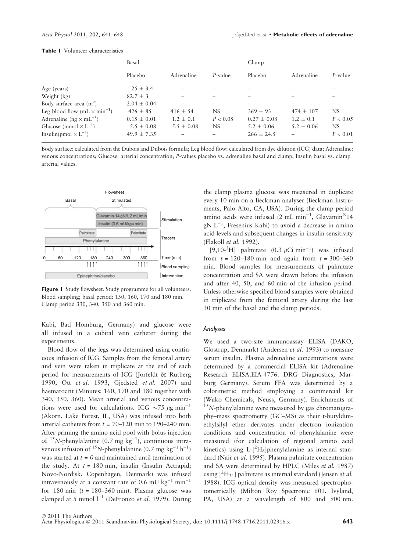|                                          | Basal           |                |            | Clamp           |                |          |  |
|------------------------------------------|-----------------|----------------|------------|-----------------|----------------|----------|--|
|                                          | Placebo         | Adrenaline     | $P$ -value | Placebo         | Adrenaline     | P-value  |  |
| Age (years)                              | $25 \pm 3.4$    |                |            |                 |                |          |  |
| Weight (kg)                              | $82.7 \pm 3$    |                |            |                 |                |          |  |
| Body surface area $(m^2)$                | $2.04 \pm 0.04$ |                |            |                 |                |          |  |
| Leg blood flow $(mL \times min^{-1})$    | $426 + 85$      | $416 \pm 54$   | NS         | $369 + 93$      | $474 + 107$    | NS.      |  |
| Adrenaline ( $ng \times mL^{-1}$ )       | $0.15 \pm 0.01$ | $1.2 \pm 0.1$  | P < 0.05   | $0.27 \pm 0.08$ | $1.2 \pm 0.1$  | P < 0.05 |  |
| Glucose (mmol $\times$ L <sup>-1</sup> ) | $5.5 \pm 0.08$  | $5.5 \pm 0.08$ | NS.        | $5.2 \pm 0.06$  | $5.2 \pm 0.06$ | NS.      |  |
| Insulin(pmol $\times L^{-1}$ )           | $49.9 \pm 7.35$ |                |            | $266 \pm 24.5$  |                | P < 0.01 |  |

#### Table 1 Volunteer characteristics

Body surface: calculated from the Dubois and Dubois formula; Leg blood flow: calculated from dye dilution (ICG) data; Adrenaline: venous concentrations; Glucose: arterial concentration; P-values placebo vs. adrenaline basal and clamp, Insulin basal vs. clamp arterial values.



Figure 1 Study flowsheet. Study programme for all volunteers. Blood sampling; basal period: 150, 160, 170 and 180 min. Clamp period 330, 340, 350 and 360 min.

Kabi, Bad Homburg, Germany) and glucose were all infused in a cubital vein catheter during the experiments.

Blood flow of the legs was determined using continuous infusion of ICG. Samples from the femoral artery and vein were taken in triplicate at the end of each period for measurements of ICG (Jorfeldt & Rutberg 1990, Ott et al. 1993, Gjedsted et al. 2007) and haematocrit (Minutes: 160, 170 and 180 together with 340, 350, 360). Mean arterial and venous concentrations were used for calculations. ICG  $\sim$ 75  $\mu$ g min<sup>-1</sup> (Akorn, Lake Forest, IL, USA) was infused into both arterial catheters from  $t = 70-120$  min to 190–240 min. After priming the amino acid pool with bolus injection of  $^{15}N$ -phenylalanine (0.7 mg kg<sup>-1</sup>), continuous intravenous infusion of <sup>15</sup>N-phenylalanine (0.7 mg kg<sup>-1</sup> h<sup>-1</sup>) was started at  $t=0$  and maintained until termination of the study. At  $t = 180$  min, insulin (Insulin Actrapid; Novo-Nordisk, Copenhagen, Denmark) was infused intravenously at a constant rate of 0.6 mU kg<sup>-1</sup> min<sup>-1</sup> for 180 min  $(t = 180-360$  min). Plasma glucose was clamped at 5 mmol  $l^{-1}$  (DeFronzo *et al.* 1979). During the clamp plasma glucose was measured in duplicate every 10 min on a Beckman analyser (Beckman Instruments, Palo Alto, CA, USA). During the clamp period amino acids were infused (2 mL min<sup>-1</sup>, Glavamin®14  $gN L^{-1}$ , Fresenius Kabi) to avoid a decrease in amino acid levels and subsequent changes in insulin sensitivity (Flakoll et al. 1992).

[9,10-<sup>3</sup>H] palmitate (0.3  $\mu$ Ci min<sup>-1</sup>) was infused from  $t = 120 - 180$  min and again from  $t = 300 - 360$ min. Blood samples for measurements of palmitate concentration and SA were drawn before the infusion and after 40, 50, and 60 min of the infusion period. Unless otherwise specified blood samples were obtained in triplicate from the femoral artery during the last 30 min of the basal and the clamp periods.

# Analyses

We used a two-site immunoassay ELISA (DAKO, Glostrup, Denmark) (Andersen et al. 1993) to measure serum insulin. Plasma adrenaline concentrations were determined by a commercial ELISA kit (Adrenaline Research ELISA.EIA-4776. DRG Diagnostics, Marburg Germany). Serum FFA was determined by a colorimetric method employing a commercial kit (Wako Chemicals, Neuss, Germany). Enrichments of  $15N$ -phenylalanine were measured by gas chromatography–mass spectrometry (GC–MS) as their t-butyldimethylsilyl ether derivates under electron ionization conditions and concentration of phenylalanine were measured (for calculation of regional amino acid kinetics) using  $L-[<sup>2</sup>H<sub>8</sub>]$ phenylalanine as internal standard (Nair et al. 1995). Plasma palmitate concentration and SA were determined by HPLC (Miles et al. 1987) using  $[^{2}H_{31}]$  palmitate as internal standard (Jensen et al. 1988). ICG optical density was measured spectrophotometrically (Milton Roy Spectronic 601, Ivyland, PA, USA) at a wavelength of 800 and 900 nm.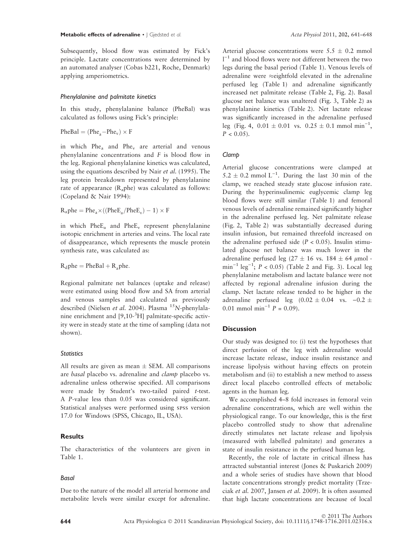Subsequently, blood flow was estimated by Fick's principle. Lactate concentrations were determined by an automated analyser (Cobas b221, Roche, Denmark) applying amperiometrics.

## Phenylalanine and palmitate kinetics

In this study, phenylalanine balance (PheBal) was calculated as follows using Fick's principle:

 $PheBal = (Phe<sub>2</sub> - Phe<sub>v</sub>) \times F$ 

in which Phe<sub>a</sub> and Phe<sub>v</sub> are arterial and venous phenylalanine concentrations and F is blood flow in the leg. Regional phenylalanine kinetics was calculated, using the equations described by Nair et al. (1995). The leg protein breakdown represented by phenylalanine rate of appearance (Raphe) was calculated as follows: (Copeland & Nair 1994):

 $R_a$ phe = Phe<sub>a</sub> $\times$ ((PheE<sub>a</sub>/PheE<sub>v</sub>) – 1)  $\times$  F

in which  $PheE_a$  and  $PheE_v$  represent phenylalanine isotopic enrichment in arteries and veins. The local rate of disappearance, which represents the muscle protein synthesis rate, was calculated as:

 $R_d$ phe = PheBal +  $R_a$ phe.

Regional palmitate net balances (uptake and release) were estimated using blood flow and SA from arterial and venous samples and calculated as previously described (Nielsen et al. 2004). Plasma <sup>15</sup>N-phenylalanine enrichment and [9,10-<sup>3</sup>H] palmitate-specific activity were in steady state at the time of sampling (data not shown).

#### **Statistics**

All results are given as mean  $\pm$  SEM. All comparisons are basal placebo vs. adrenaline and clamp placebo vs. adrenaline unless otherwise specified. All comparisons were made by Student's two-tailed paired t-test. A P-value less than 0.05 was considered significant. Statistical analyses were performed using spss version 17.0 for Windows (SPSS, Chicago, IL, USA).

# Results

The characteristics of the volunteers are given in Table 1.

# Basal

Due to the nature of the model all arterial hormone and metabolite levels were similar except for adrenaline. Arterial glucose concentrations were  $5.5 \pm 0.2$  mmol  $l^{-1}$  and blood flows were not different between the two legs during the basal period (Table 1). Venous levels of adrenaline were  $\approx$ eightfold elevated in the adrenaline perfused leg (Table 1) and adrenaline significantly increased net palmitate release (Table 2, Fig. 2). Basal glucose net balance was unaltered (Fig. 3, Table 2) as phenylalanine kinetics (Table 2). Net lactate release was significantly increased in the adrenaline perfused leg (Fig. 4,  $0.01 \pm 0.01$  vs.  $0.25 \pm 0.1$  mmol min<sup>-1</sup>,  $P < 0.05$ ).

## Clamp

Arterial glucose concentrations were clamped at  $5.2 \pm 0.2$  mmol L<sup>-1</sup>. During the last 30 min of the clamp, we reached steady state glucose infusion rate. During the hyperinsulinemic euglycemic clamp leg blood flows were still similar (Table 1) and femoral venous levels of adrenaline remained significantly higher in the adrenaline perfused leg. Net palmitate release (Fig. 2, Table 2) was substantially decreased during insulin infusion, but remained threefold increased on the adrenaline perfused side  $(P < 0.05)$ . Insulin stimulated glucose net balance was much lower in the adrenaline perfused leg (27  $\pm$  16 vs. 184  $\pm$  64  $\mu$ mol - $\text{min}^{-1}$  leg<sup>-1</sup>;  $P < 0.05$ ) (Table 2 and Fig. 3). Local leg phenylalanine metabolism and lactate balance were not affected by regional adrenaline infusion during the clamp. Net lactate release tended to be higher in the adrenaline perfused leg  $(0.02 \pm 0.04$  vs.  $-0.2 \pm 0.04$ 0.01 mmol min<sup>-1</sup>  $P = 0.09$ .

# **Discussion**

Our study was designed to: (i) test the hypotheses that direct perfusion of the leg with adrenaline would increase lactate release, induce insulin resistance and increase lipolysis without having effects on protein metabolism and (ii) to establish a new method to assess direct local placebo controlled effects of metabolic agents in the human leg.

We accomplished 4–8 fold increases in femoral vein adrenaline concentrations, which are well within the physiological range. To our knowledge, this is the first placebo controlled study to show that adrenaline directly stimulates net lactate release and lipolysis (measured with labelled palmitate) and generates a state of insulin resistance in the perfused human leg.

Recently, the role of lactate in critical illness has attracted substantial interest (Jones & Puskarich 2009) and a whole series of studies have shown that blood lactate concentrations strongly predict mortality (Trzeciak et al. 2007, Jansen et al. 2009). It is often assumed that high lactate concentrations are because of local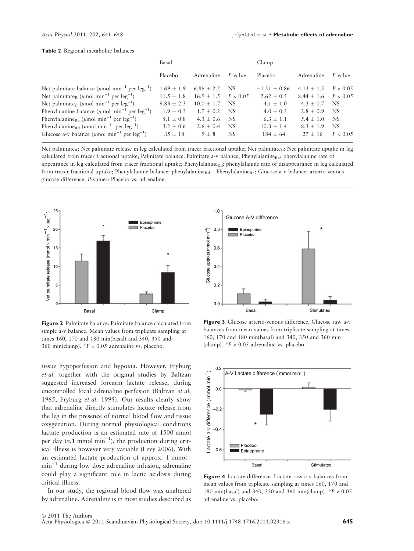### Table 2 Regional metabolite balances

|                                                                                   | Basal         |               |           | Clamp          |              |            |
|-----------------------------------------------------------------------------------|---------------|---------------|-----------|----------------|--------------|------------|
|                                                                                   | Placebo       | Adrenaline    | P-value   | Placebo        | Adrenaline   | $P$ -value |
| Net palmitate balance ( $\mu$ mol min <sup>-1</sup> per leg <sup>-1</sup> )       | $1.69 + 1.9$  | $6.86 + 2.2$  | <b>NS</b> | $-1.51 + 0.86$ | $4.13 + 1.5$ | P < 0.05   |
| Net palmitate <sub>R</sub> ( $\mu$ mol min <sup>-1</sup> per leg <sup>-1</sup> )  | $11.5 + 1.8$  | $16.9 + 1.5$  | P < 0.05  | $2.62 + 0.5$   | $8.44 + 1.6$ | P < 0.05   |
| Net palmitate <sub>U</sub> ( $\mu$ mol min <sup>-1</sup> per leg <sup>-1</sup> )  | $9.83 + 2.3$  | $10.0 + 1.7$  | NS.       | $4.1 + 1.0$    | $4.3 + 0.7$  | NS.        |
| Phenylalanine balance ( $\mu$ mol min <sup>-1</sup> per leg <sup>-1</sup> )       | $1.9 + 0.3$   | $1.7 + 0.2$   | NS.       | $4.0 \pm 0.5$  | $2.8 + 0.9$  | NS.        |
| Phenylalanine <sub>Ra</sub> ( $\mu$ mol min <sup>-1</sup> per leg <sup>-1</sup> ) | $5.1 + 0.8$   | $4.3 + 0.6$   | NS.       | $6.3 + 1.1$    | $5.4 + 1.0$  | NS.        |
| Phenylalanine <sub>Rd</sub> ( $\mu$ mol min <sup>-1</sup> per leg <sup>-1</sup> ) | $3.2 \pm 0.6$ | $2.6 \pm 0.4$ | NS.       | $10.3 + 1.4$   | $8.3 + 1.9$  | NS.        |
| Glucose a-v balance ( $\mu$ mol min <sup>-1</sup> per leg <sup>-1</sup> )         | $35 + 18$     | $9 + 8$       | NS        | $184 + 64$     | $27 + 16$    | P < 0.05   |

Net palmitate<sub>R</sub>: Net palmitate release in leg calculated from tracer fractional uptake; Net palmitate<sub>U</sub>: Net palmitate uptake in leg calculated from tracer fractional uptake; Palmitate balance: Palmitate a-v balance; Phenylalanine $_{\text{Ra}}$ : phenylalanine rate of appearance in leg calculated from tracer fractional uptake; Phenylalanine<sub>Rd</sub>: phenylalanine rate of disappearance in leg calculated from tracer fractional uptake; Phenylalanine balance: phenylalanine<sub>Rd</sub> – Phenylalanine<sub>Ra</sub>; Glucose a-v balance: arterio-venous glucose difference, P-values: Placebo vs. adrenaline.



Figure 2 Palmitate balance. Palmitate balance calculated from simple a-v balance. Mean values from triplicate sampling at times 160, 170 and 180 min(basal) and 340, 350 and 360 min(clamp).  $P < 0.05$  adrenaline vs. placebo.

tissue hypoperfusion and hypoxia. However, Fryburg et al. together with the original studies by Baltzan suggested increased forearm lactate release, during uncontrolled local adrenaline perfusion (Baltzan et al. 1965, Fryburg et al. 1995). Our results clearly show that adrenaline directly stimulates lactate release from the leg in the presence of normal blood flow and tissue oxygenation. During normal physiological conditions lactate production is an estimated rate of 1500 mmol per day ( $\approx$ 1 mmol min<sup>-1</sup>), the production during critical illness is however very variable (Levy 2006). With an estimated lactate production of approx. 1 mmol  $min^{-1}$  during low dose adrenaline infusion, adrenaline could play a significant role in lactic acidosis during critical illness.

In our study, the regional blood flow was unaltered by adrenaline. Adrenaline is in most studies described as



Figure 3 Glucose arterio-venous difference. Glucose raw a-v balances from mean values from triplicate sampling at times 160, 170 and 180 min(basal) and 340, 350 and 360 min (clamp).  $*P < 0.05$  adrenaline vs. placebo.



Figure 4 Lactate difference. Lactate raw a-v balances from mean values from triplicate sampling at times 160, 170 and 180 min(basal) and 340, 350 and 360 min(clamp). \*P < 0.05 adrenaline vs. placebo.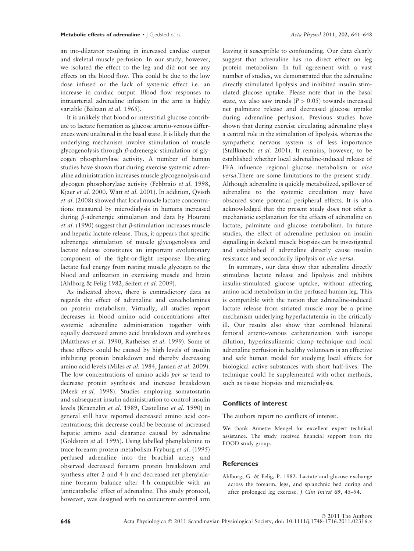an ino-dilatator resulting in increased cardiac output and skeletal muscle perfusion. In our study, however, we isolated the effect to the leg and did not see any effects on the blood flow. This could be due to the low dose infused or the lack of systemic effect i.e. an increase in cardiac output. Blood flow responses to intraarterial adrenaline infusion in the arm is highly variable (Baltzan et al. 1965).

It is unlikely that blood or interstitial glucose contribute to lactate formation as glucose arterio-venous differences were unaltered in the basal state. It is likely that the underlying mechanism involve stimulation of muscle glycogenolysis through  $\beta$ -adrenergic stimulation of glycogen phosphorylase activity. A number of human studies have shown that during exercise systemic adrenaline administration increases muscle glycogenolysis and glycogen phosphorylase activity (Febbraio et al. 1998, Kjaer et al. 2000, Watt et al. 2001). In addition, Qvisth et al. (2008) showed that local muscle lactate concentrations measured by microdialysis in humans increased during b-adrenergic stimulation and data by Hourani *et al.* (1990) suggest that  $\beta$ -stimulation increases muscle and hepatic lactate release. Thus, it appears that specific adrenergic stimulation of muscle glycogenolysis and lactate release constitutes an important evolutionary component of the fight-or-flight response liberating lactate fuel energy from resting muscle glycogen to the blood and utilization in exercising muscle and brain (Ahlborg & Felig 1982, Seifert et al. 2009).

As indicated above, there is contradictory data as regards the effect of adrenaline and catecholamines on protein metabolism. Virtually, all studies report decreases in blood amino acid concentrations after systemic adrenaline administration together with equally decreased amino acid breakdown and synthesis (Matthews et al. 1990, Ratheiser et al. 1999). Some of these effects could be caused by high levels of insulin inhibiting protein breakdown and thereby decreasing amino acid levels (Miles et al. 1984, Jansen et al. 2009). The low concentrations of amino acids per se tend to decrease protein synthesis and increase breakdown (Meek et al. 1998). Studies employing somatostatin and subsequent insulin administration to control insulin levels (Kraenzlin et al. 1989, Castellino et al. 1990) in general still have reported decreased amino acid concentrations; this decrease could be because of increased hepatic amino acid clearance caused by adrenaline (Goldstein et al. 1995). Using labelled phenylalanine to trace forearm protein metabolism Fryburg et al. (1995) perfused adrenaline into the brachial artery and observed decreased forearm protein breakdown and synthesis after 2 and 4 h and decreased net phenylalanine forearm balance after 4 h compatible with an 'anticatabolic' effect of adrenaline. This study protocol, however, was designed with no concurrent control arm

leaving it susceptible to confounding. Our data clearly suggest that adrenaline has no direct effect on leg protein metabolism. In full agreement with a vast number of studies, we demonstrated that the adrenaline directly stimulated lipolysis and inhibited insulin stimulated glucose uptake. Please note that in the basal state, we also saw trends  $(P > 0.05)$  towards increased net palmitate release and decreased glucose uptake during adrenaline perfusion. Previous studies have shown that during exercise circulating adrenaline plays a central role in the stimulation of lipolysis, whereas the sympathetic nervous system is of less importance (Stallknecht et al. 2001). It remains, however, to be established whether local adrenaline-induced release of FFA influence regional glucose metabolism or vice versa.There are some limitations to the present study. Although adrenaline is quickly metabolized, spillover of adrenaline to the systemic circulation may have obscured some potential peripheral effects. It is also acknowledged that the present study does not offer a mechanistic explanation for the effects of adrenaline on lactate, palmitate and glucose metabolism. In future studies, the effect of adrenaline perfusion on insulin signalling in skeletal muscle biopsies can be investigated and established if adrenaline directly cause insulin resistance and secondarily lipolysis or vice versa.

In summary, our data show that adrenaline directly stimulates lactate release and lipolysis and inhibits insulin-stimulated glucose uptake, without affecting amino acid metabolism in the perfused human leg. This is compatible with the notion that adrenaline-induced lactate release from striated muscle may be a prime mechanism underlying hyperlactatemia in the critically ill. Our results also show that combined bilateral femoral arterio-venous catheterization with isotope dilution, hyperinsulinemic clamp technique and local adrenaline perfusion in healthy volunteers is an effective and safe human model for studying local effects for biological active substances with short half-lives. The technique could be supplemented with other methods, such as tissue biopsies and microdialysis.

## Conflicts of interest

The authors report no conflicts of interest.

We thank Annette Mengel for excellent expert technical assistance. The study received financial support from the FOOD study group.

# **References**

Ahlborg, G. & Felig, P. 1982. Lactate and glucose exchange across the forearm, legs, and splanchnic bed during and after prolonged leg exercise. J Clin Invest 69, 45–54.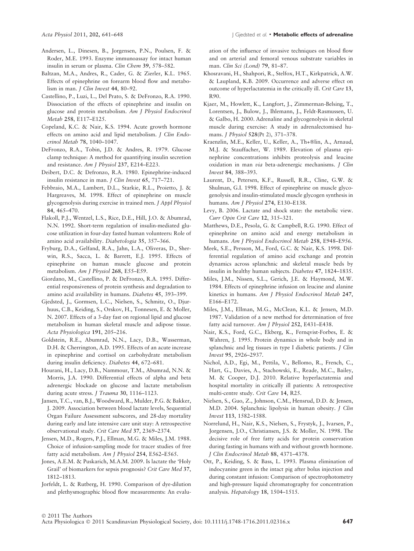- Andersen, L., Dinesen, B., Jorgensen, P.N., Poulsen, F. & Roder, M.E. 1993. Enzyme immunoassay for intact human insulin in serum or plasma. Clin Chem 39, 578-582.
- Baltzan, M.A., Andres, R., Cader, G. & Zierler, K.L. 1965. Effects of epinephrine on forearm blood flow and metabolism in man. J Clin Invest 44, 80–92.
- Castellino, P., Luzi, L., Del Prato, S. & DeFronzo, R.A. 1990. Dissociation of the effects of epinephrine and insulin on glucose and protein metabolism. Am J Physiol Endocrinol Metab 258, E117–E125.
- Copeland, K.C. & Nair, K.S. 1994. Acute growth hormone effects on amino acid and lipid metabolism. J Clin Endocrinol Metab 78, 1040–1047.
- DeFronzo, R.A., Tobin, J.D. & Andres, R. 1979. Glucose clamp technique: A method for quantifying insulin secretion and resistance. Am J Physiol 237, E214–E223.
- Deibert, D.C. & Defronzo, R.A. 1980. Epinephrine-induced insulin resistance in man. J Clin Invest 65, 717–721.
- Febbraio, M.A., Lambert, D.L., Starkie, R.L., Proietto, J. & Hargreaves, M. 1998. Effect of epinephrine on muscle glycogenolysis during exercise in trained men. J Appl Physiol 84, 465–470.
- Flakoll, P.J., Wentzel, L.S., Rice, D.E., Hill, J.O. & Abumrad, N.N. 1992. Short-term regulation of insulin-mediated glucose utilization in four-day fasted human volunteers: Role of amino acid availability. Diabetologia 35, 357–366.
- Fryburg, D.A., Gelfand, R.A., Jahn, L.A., Oliveras, D., Sherwin, R.S., Sacca, L. & Barrett, E.J. 1995. Effects of epinephrine on human muscle glucose and protein metabolism. Am J Physiol 268, E55–E59.
- Giordano, M., Castellino, P. & DeFronzo, R.A. 1995. Differential responsiveness of protein synthesis and degradation to amino acid availability in humans. Diabetes 45, 393–399.
- Gjedsted, J., Gormsen, L.C., Nielsen, S., Schmitz, O., Djurhuus, C.B., Keiding, S., Orskov, H., Tonnesen, E. & Moller, N. 2007. Effects of a 3-day fast on regional lipid and glucose metabolism in human skeletal muscle and adipose tissue. Acta Physiologica 191, 205–216.
- Goldstein, R.E., Abumrad, N.N., Lacy, D.B., Wasserman, D.H. & Cherrington, A.D. 1995. Effects of an acute increase in epinephrine and cortisol on carbohydrate metabolism during insulin deficiency. Diabetes 44, 672–681.
- Hourani, H., Lacy, D.B., Nammour, T.M., Abumrad, N.N. & Morris, J.A. 1990. Differential effects of alpha and beta adrenergic blockade on glucose and lactate metabolism during acute stress. *J Trauma* 30, 1116-1123.
- Jansen, T.C., van, B.J., Woodward, R., Mulder, P.G. & Bakker, J. 2009. Association between blood lactate levels, Sequential Organ Failure Assessment subscores, and 28-day mortality during early and late intensive care unit stay: A retrospective observational study. Crit Care Med 37, 2369–2374.
- Jensen, M.D., Rogers, P.J., Ellman, M.G. & Miles, J.M. 1988. Choice of infusion-sampling mode for tracer studies of free fatty acid metabolism. Am J Physiol 254, E562–E565.
- Jones, A.E.M. & Puskarich, M.A.M. 2009. Is lactate the 'Holy Grail' of biomarkers for sepsis prognosis? Crit Care Med 37, 1812–1813.
- Jorfeldt, L. & Rutberg, H. 1990. Comparison of dye-dilution and plethysmographic blood flow measurements: An evalu-

ation of the influence of invasive techniques on blood flow and on arterial and femoral venous substrate variables in man. Clin Sci (Lond) 79, 81–87.

- Khosravani, H., Shahpori, R., Stelfox, H.T., Kirkpatrick, A.W. & Laupland, K.B. 2009. Occurrence and adverse effect on outcome of hyperlactatemia in the critically ill. Crit Care 13, R90.
- Kjaer, M., Howlett, K., Langfort, J., Zimmerman-Belsing, T., Lorentsen, J., Bulow, J., Ihlemann, J., Feldt-Rasmussen, U. & Galbo, H. 2000. Adrenaline and glycogenolysis in skeletal muscle during exercise: A study in adrenalectomised humans. J Physiol 528(Pt 2), 371–378.
- Kraenzlin, M.E., Keller, U., Keller, A., Th+®lin, A., Arnaud, M.J. & Stauffacher, W. 1989. Elevation of plasma epinephrine concentrations inhibits proteolysis and leucine oxidation in man via beta-adrenergic mechanisms. J Clin Invest 84, 388–393.
- Laurent, D., Petersen, K.F., Russell, R.R., Cline, G.W. & Shulman, G.I. 1998. Effect of epinephrine on muscle glycogenolysis and insulin-stimulated muscle glycogen synthesis in humans. Am J Physiol 274, E130–E138.
- Levy, B. 2006. Lactate and shock state: the metabolic view. Curr Opin Crit Care 12, 315–321.
- Matthews, D.E., Pesola, G. & Campbell, R.G. 1990. Effect of epinephrine on amino acid and energy metabolism in humans. Am J Physiol Endocrinol Metab 258, E948-E956.
- Meek, S.E., Persson, M., Ford, G.C. & Nair, K.S. 1998. Differential regulation of amino acid exchange and protein dynamics across splanchnic and skeletal muscle beds by insulin in healthy human subjects. Diabetes 47, 1824–1835.
- Miles, J.M., Nissen, S.L., Gerich, J.E. & Haymond, M.W. 1984. Effects of epinephrine infusion on leucine and alanine kinetics in humans. Am J Physiol Endocrinol Metab 247, E166–E172.
- Miles, J.M., Ellman, M.G., McClean, K.L. & Jensen, M.D. 1987. Validation of a new method for determination of free fatty acid turnover. Am J Physiol 252, E431–E438.
- Nair, K.S., Ford, G.C., Ekberg, K., Fernqvist-Forbes, E. & Wahren, J. 1995. Protein dynamics in whole body and in splanchnic and leg tissues in type I diabetic patients. *J Clin* Invest 95, 2926–2937.
- Nichol, A.D., Egi, M., Pettila, V., Bellomo, R., French, C., Hart, G., Davies, A., Stachowski, E., Reade, M.C., Bailey, M. & Cooper, D.J. 2010. Relative hyperlactatemia and hospital mortality in critically ill patients: A retrospective multi-centre study. Crit Care 14, R25.
- Nielsen, S., Guo, Z., Johnson, C.M., Hensrud, D.D. & Jensen, M.D. 2004. Splanchnic lipolysis in human obesity. J Clin Invest 113, 1582–1588.
- Norrelund, H., Nair, K.S., Nielsen, S., Frystyk, J., Ivarsen, P., Jorgensen, J.O., Christiansen, J.S. & Moller, N. 1998. The decisive role of free fatty acids for protein conservation during fasting in humans with and without growth hormone. J Clin Endocrinol Metab 88, 4371–4378.
- Ott, P., Keiding, S. & Bass, L. 1993. Plasma elimination of indocyanine green in the intact pig after bolus injection and during constant infusion: Comparison of spectrophotometry and high-pressure liquid chromatography for concentration analysis. Hepatology 18, 1504–1515.